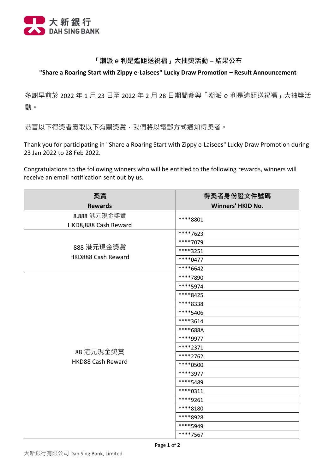

## **「潮派 e 利是遙距送祝福」大抽獎活動 – 結果公布**

## **"Share a Roaring Start with Zippy e-Laisees" Lucky Draw Promotion – Result Announcement**

多謝早前於 2022 年 1 月 23 日至 2022 年 2 月 28 日期間參與「潮派 e 利是遙距送祝福」大抽獎活 動。

恭喜以下得獎者贏取以下有關獎賞,我們將以電郵方式通知得獎者。

 Thank you for participating in "Share a Roaring Start with Zippy e-Laisees" Lucky Draw Promotion during 23 Jan 2022 to 28 Feb 2022.

 Congratulations to the following winners who will be entitled to the following rewards, winners will receive an email notification sent out by us.

| 獎賞                                    | 得獎者身份證文件號碼               |
|---------------------------------------|--------------------------|
| <b>Rewards</b>                        | <b>Winners' HKID No.</b> |
| 8,888 港元現金獎賞                          | ****8801                 |
| HKD8,888 Cash Reward                  |                          |
|                                       | ****7623                 |
| 888 港元現金獎賞<br>HKD888 Cash Reward      | ****7079                 |
|                                       | ****3251                 |
|                                       | ****0477                 |
|                                       | ****6642                 |
|                                       | ****7890                 |
|                                       | ****5974                 |
|                                       | ****8425                 |
|                                       | ****8338                 |
|                                       | ****5406                 |
| 88 港元現金獎賞<br><b>HKD88 Cash Reward</b> | ****3614                 |
|                                       | ****688A                 |
|                                       | ****9977                 |
|                                       | ****2371                 |
|                                       | ****2762                 |
|                                       | ****0500                 |
|                                       | ****3977                 |
|                                       | ****5489                 |
|                                       | $****0311$               |
|                                       | ****9261                 |
|                                       | ****8180                 |
|                                       | ****8928                 |
|                                       | ****5949                 |
|                                       | ****7567                 |